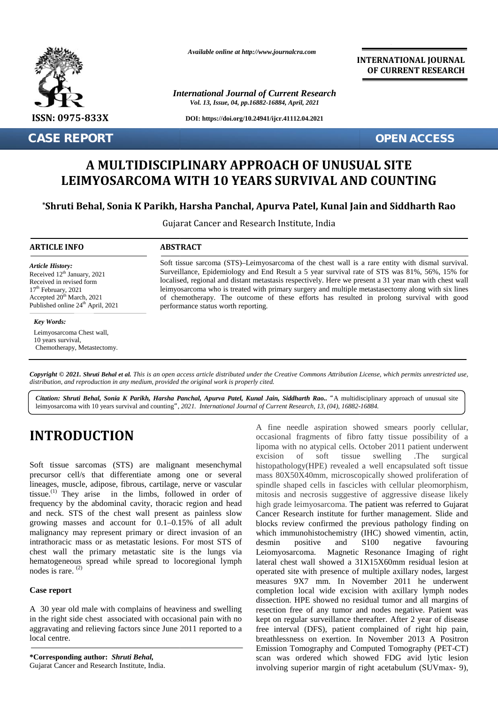

**CASE REPORT OPEN ACCESS**

*Available online at http://www.journalcra.com*

*International Journal of Current Research Vol. 13, Issue, 04, pp.16882-16884, April, 2021*

**DOI: https://doi.org/10.24941/ijcr.41112.04.2021**

**INTERNATIONAL JOURNAL OF CURRENT RESEARCH**

# **A MULTIDISCIPLINARY APPROACH OF UNUSUAL SITE LEIMYOSARCOMA WITH 10 YEARS SURVIVAL AND COUNTING UNUSUALLEIMYOSARCOMA SURVIVAL EXEMPLATE ANTITY CONSISTED AND ARRETTED SCIPLINARY APPROACH OF UNUSUAL SIT<br>
LEIMYOSARCOMA WITH 10 YEARS SURVIVAL AND COUN<br>
"Shruti Behal, Sonia K Parikh, Harsha Panchal, Apurva Patel, Kunal Jain and Side<br>
Gujarat Cancer a**

# **\*Shruti Behal, Sonia K Parikh, Harsha Panchal, Apurva Patel, Kunal Jain and Siddharth Rao HarshaPatel,and**

Gujarat Cancer and Research Institute, India

## **ARTICLE INFO ABSTRACT ARTICLE ABSTRACT**

*Article History: Article History:* Received  $12^{\text{th}}$  January, 2021 Received in revised form Received in revised form  $17<sup>th</sup>$  February, 2021 Accepted xxxxxxxxxxxxxxxxxxxxxxxxx Accepted 20th March, 2021 revised formAcceptedthPublished online  $24<sup>th</sup>$  April, 2021

### *Key Words: Key*

Leimyosarcoma Chest wall, 10 years survival, Leimyosarcoma Chest wall,<br>10 years survival,<br>Chemotherapy, Metastectomy.

Soft tissue sarcoma (STS)–Leimyosarcoma of the chest wall is a rare entity with dismal survival. Surveillance, Epidemiology and End Result a 5 year survival rate of STS was 81%, 56%, 15% for Soft tissue sarcoma (STS)–Leimyosarcoma of the chest wall is a rare entity with dismal survival.<br>Surveillance, Epidemiology and End Result a 5 year survival rate of STS was 81%, 56%, 15% for<br>localised, regional and distant leimyosarcoma who is treated with primary surgery and multiple metastasectomy along with six lines of chemotherapy. The outcome of these efforts has resulted in prolong survival with good performance status worth reporting. performance status worth reporting. **Behalf Start Constrained Constrained Constrained Constrained Start American section of Start Syear survival revised of STS was 81%, 56%, 15%<br>
<b>Behaling the method of the behalf of the start inerations in every present a** 

**Copyright © 2021. Shruti Behal et al.** This is an open access article distributed under the Creative Commons Attribution License, which permits unrestricted use,<br>distribution, and reproduction in any medium, provided the *distribution, and reproduction in any medium, provided the original work is properly cited.*

Citation: Shruti Behal, Sonia K Parikh, Harsha Panchal, Apurva Patel, Kunal Jain, Siddharth Rao.. "A multidisciplinary approach of unusual site leimyosarcoma with 10 years survival and counting*", 2021. International Journal of Current Research, 13, (04), 16882-16884.*

# **INTRODUCTION INTRODUCTION**

Soft tissue sarcomas (STS) are malignant mesenchymal Soft tissue sarcomas (STS) are malignant mesenchymal <br>precursor cell/s that differentiate among one or several r lineages, muscle, adipose, fibrous, cartilage, nerve or vascular sp tissue.<sup>(1)</sup> They arise in the limbs, followed in order of frequency by the abdominal cavity, thoracic region and head high and neck. STS of the chest wall present as painless slow growing masses and account for 0.1–0.15% of all adult bl<br>malignancy may represent primary or direct invasion of an w<br>intrathoracic mass or as metastatic lesions. For most STS of de malignancy may represent primary or direct invasion of an intrathoracic mass or as metastatic lesions. For most STS of chest wall the primary metastatic site is the lungs via chest wall the primary metastatic site is the lungs via Leios<br>hematogeneous spread while spread to locoregional lymph latera nodes is rare.  $(2)$ tissue.<sup>(1)</sup> They arise in the limbs, followed in frequency by the abdominal cavity, thoracic region and neck. STS of the chest wall present as pair

# **Case report**

A 30 year old male with complains of heaviness and swelling in the right side chest associated with occasional pain with no aggravating and relieving factors since June 2011 reported to a local centre. local A 30 year old male with complains of heaviness and swelling res<br>in the right side chest associated with occasional pain with no<br>aggravating and relieving factors since June 2011 reported to a

**\*Corresponding author:** *Shruti Behal,* **\*Corresponding** *Behal,*Gujarat Cancer and Research Institute, India.

A fine needle aspiration showed smears poorly cellular, occasional fragments of fibro fatty tissue possibility of a lipoma with no atypical cells. October 2011 patient underwent excision of soft tissue swelling .The surgical histopathology(HPE) revealed a well encapsulated soft tissue mass 80X50X40mm, microscopically showed proliferation of spindle shaped cells in fascicles with cellular pleomorphism, mitosis and necrosis suggestive of aggressive disease likely high grade leimyosarcoma. The patient was referred to Gujarat Cancer Research institute for further management. Slide and blocks review confirmed the previous pathology finding on which immunohistochemistry (IHC) showed vimentin, actin, positive and S100 negative favouring Leiomyosarcoma. Magnetic Resonance Imaging of right lateral chest wall showed a 31X15X60mm residual lesion at operated site with presence of multiple axillary nodes, largest measures 9X7 mm. In November 2011 he underwent completion local wide excision with axillary lymph nodes dissection. HPE showed no residual tumor and all margins of resection free of any tumor and nodes negative. Patient was kept on regular surveillance thereafter. After 2 year of disease free interval (DFS), patient complained of right hip pain, breathlessness on exertion. In November 2013 A Positron Emission Tomography and Computed Tomography (PET-CT) scan was ordered which showed FDG avid lytic lesion involving superior margin of right acetabulum (SUVmax- 9), Maximum Strames and Strames and The Thin The Controller and Strames and The Thin Research Strames and Strames and The Thin Research Controller and The Thin The Controller and The Thin Philosopher and The Thin Philosopher a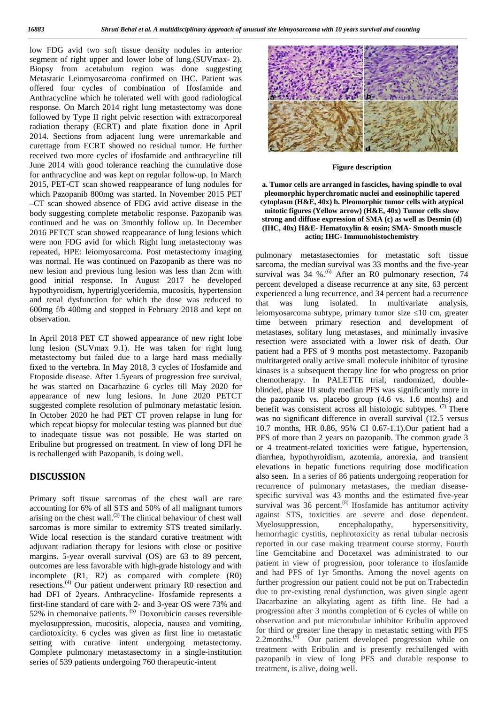low FDG avid two soft tissue density nodules in anterior segment of right upper and lower lobe of lung.(SUVmax- 2). Biopsy from acetabulum region was done suggesting Metastatic Leiomyosarcoma confirmed on IHC. Patient was offered four cycles of combination of Ifosfamide and Anthracycline which he tolerated well with good radiological response. On March 2014 right lung metastectomy was done followed by Type II right pelvic resection with extracorporeal radiation therapy (ECRT) and plate fixation done in April 2014. Sections from adjacent lung were unremarkable and curettage from ECRT showed no residual tumor. He further received two more cycles of ifosfamide and anthracycline till June 2014 with good tolerance reaching the cumulative dose for anthracycline and was kept on regular follow-up. In March 2015, PET-CT scan showed reappearance of lung nodules for which Pazopanib 800mg was started. In November 2015 PET –CT scan showed absence of FDG avid active disease in the body suggesting complete metabolic response. Pazopanib was continued and he was on 3monthly follow up. In December 2016 PETCT scan showed reappearance of lung lesions which were non FDG avid for which Right lung metastectomy was repeated, HPE: leiomyosarcoma. Post metastectomy imaging was normal. He was continued on Pazopanib as there was no new lesion and previous lung lesion was less than 2cm with good initial response. In August 2017 he developed hypothyroidism, hypertriglyceridemia, mucositis, hypertension and renal dysfunction for which the dose was reduced to  $\frac{enps}{that}$ 600mg f/b 400mg and stopped in February 2018 and kept on observation.

In April 2018 PET CT showed appearance of new right lobe lung lesion (SUVmax 9.1). He was taken for right lung metastectomy but failed due to a large hard mass medially fixed to the vertebra. In May 2018, 3 cycles of Ifosfamide and Etoposide disease. After 1.5years of progression free survival, he was started on Dacarbazine 6 cycles till May 2020 for appearance of new lung lesions. In June 2020 PETCT suggested complete resolution of pulmonary metastatic lesion. In October 2020 he had PET CT proven relapse in lung for which repeat biopsy for molecular testing was planned but due to inadequate tissue was not possible. He was started on Eribuline but progressed on treatment. In view of long DFI he is rechallenged with Pazopanib, is doing well.

# **DISCUSSION**

Primary soft tissue sarcomas of the chest wall are rare accounting for 6% of all STS and 50% of all malignant tumors arising on the chest wall.<sup>(3)</sup> The clinical behaviour of chest wall sarcomas is more similar to extremity STS treated similarly. Wide local resection is the standard curative treatment with adjuvant radiation therapy for lesions with close or positive margins. 5-year overall survival (OS) are 63 to 89 percent, outcomes are less favorable with high-grade histology and with incomplete (R1, R2) as compared with complete (R0) resections.(4) Our patient underwent primary R0 resection and had DFI of 2years. Anthracycline- Ifosfamide represents a first-line standard of care with 2- and 3-year OS were 73% and Dacart 52% in chemonaive patients.  $^{(5)}$  Doxorubicin causes reversible  $^{100}$ myelosuppression, mucositis, alopecia, nausea and vomiting, cardiotoxicity. 6 cycles was given as first line in metastatic setting with curative intent undergoing metastectomy. Complete pulmonary metastasectomy in a single-institution series of 539 patients undergoing 760 therapeutic-intent



**Figure description**

**a. Tumor cells are arranged in fascicles, having spindle to oval pleomorphic hyperchromatic nuclei and eosinophilic tapered cytoplasm (H&E, 40x) b. Pleomorphic tumor cells with atypical mitotic figures (Yellow arrow) (H&E, 40x) Tumor cells show strong and diffuse expression of SMA (c) as well as Desmin (d) (IHC, 40x) H&E- Hematoxylin & eosin; SMA- Smooth muscle actin; IHC- Immunohistochemistry**

pulmonary metastasectomies for metastatic soft tissue sarcoma, the median survival was 33 months and the five-year survival was 34 %.<sup>(6)</sup> After an R0 pulmonary resection, 74 percent developed a disease recurrence at any site, 63 percent experienced a lung recurrence, and 34 percent had a recurrence was lung isolated. In multivariate analysis, leiomyosarcoma subtype, primary tumor size 10 cm, greater time between primary resection and development of metastases, solitary lung metastases, and minimally invasive resection were associated with a lower risk of death. Our patient had a PFS of 9 months post metastectomy. Pazopanib multitargeted orally active small molecule inhibitor of tyrosine kinases is a subsequent therapy line for who progress on prior chemotherapy. In PALETTE trial, randomized, double blinded, phase III study median PFS was significantly more in the pazopanib vs. placebo group (4.6 vs. 1.6 months) and benefit was consistent across all histologic subtypes.  $(7)$  There was no significant difference in overall survival (12.5 versus 10.7 months, HR 0.86, 95% CI 0.67-1.1).Our patient had a PFS of more than 2 years on pazopanib. The common grade 3 or 4 treatment-related toxicities were fatigue, hypertension, diarrhea, hypothyroidism, azotemia, anorexia, and transient elevations in hepatic functions requiring dose modification also seen. In a series of 86 patients undergoing reoperation for recurrence of pulmonary metastases, the median disease specific survival was 43 months and the estimated five-year survival was  $36$  percent.<sup>(8)</sup> Ifosfamide has antitumor activity against STS, toxicities are severe and dose dependent. Myelosuppression, encephalopathy, hypersensitivity, hemorrhagic cystitis, nephrotoxicity as renal tubular necrosis reported in our case making treatment course stormy. Fourth line Gemcitabine and Docetaxel was administrated to our patient in view of progression, poor tolerance to ifosfamide and had PFS of 1yr 5months. Among the novel agents on further progression our patient could not be put on Trabectedin due to pre-existing renal dysfunction, was given single agent Dacarbazine an alkylating agent as fifth line. He had a progression after 3 months completion of 6 cycles of while on observation and put microtubular inhibitor Eribulin approved for third or greater line therapy in metastatic setting with PFS 2.2months.<sup>(9)</sup> Our patient developed progression while on treatment with Eribulin and is presently rechallenged with pazopanib in view of long PFS and durable response to treatment, is alive, doing well.